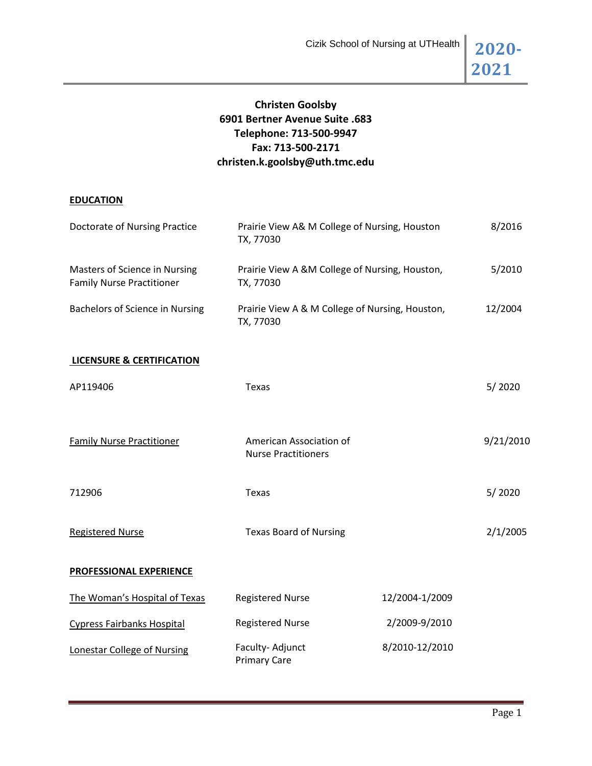

# **Christen Goolsby 6901 Bertner Avenue Suite .683 Telephone: 713-500-9947 Fax: 713-500-2171 christen.k.goolsby@uth.tmc.edu**

## **EDUCATION**

| Doctorate of Nursing Practice                                     | Prairie View A& M College of Nursing, Houston<br>TX, 77030   |                | 8/2016    |
|-------------------------------------------------------------------|--------------------------------------------------------------|----------------|-----------|
| Masters of Science in Nursing<br><b>Family Nurse Practitioner</b> | Prairie View A &M College of Nursing, Houston,<br>TX, 77030  |                | 5/2010    |
| Bachelors of Science in Nursing                                   | Prairie View A & M College of Nursing, Houston,<br>TX, 77030 |                | 12/2004   |
| <b>LICENSURE &amp; CERTIFICATION</b>                              |                                                              |                |           |
| AP119406                                                          | <b>Texas</b>                                                 |                | 5/2020    |
| <b>Family Nurse Practitioner</b>                                  | American Association of<br><b>Nurse Practitioners</b>        |                | 9/21/2010 |
| 712906                                                            | Texas                                                        |                | 5/2020    |
| <b>Registered Nurse</b>                                           | <b>Texas Board of Nursing</b>                                |                | 2/1/2005  |
| PROFESSIONAL EXPERIENCE                                           |                                                              |                |           |
| The Woman's Hospital of Texas                                     | <b>Registered Nurse</b>                                      | 12/2004-1/2009 |           |
| <b>Cypress Fairbanks Hospital</b>                                 | <b>Registered Nurse</b>                                      | 2/2009-9/2010  |           |
| <b>Lonestar College of Nursing</b>                                | Faculty-Adjunct<br><b>Primary Care</b>                       | 8/2010-12/2010 |           |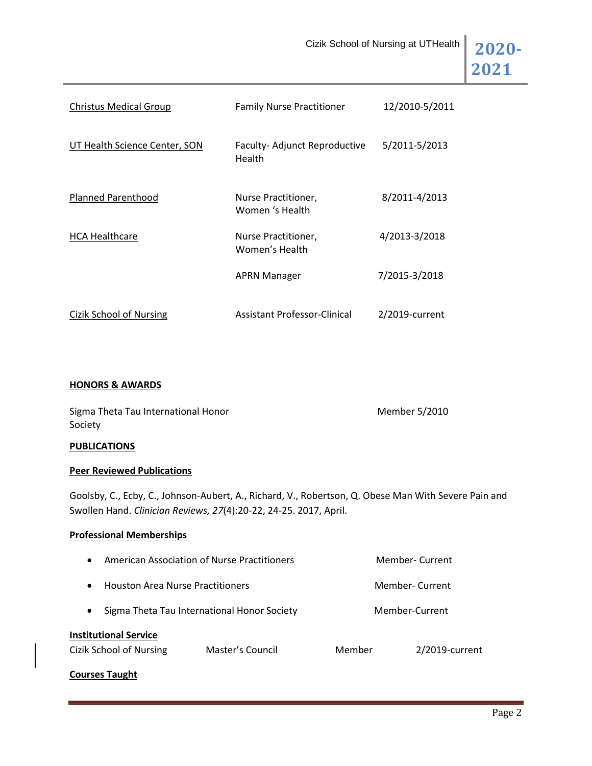

| <b>Christus Medical Group</b> | <b>Family Nurse Practitioner</b>       | 12/2010-5/2011 |
|-------------------------------|----------------------------------------|----------------|
| UT Health Science Center, SON | Faculty-Adjunct Reproductive<br>Health | 5/2011-5/2013  |
| <b>Planned Parenthood</b>     | Nurse Practitioner,<br>Women 's Health | 8/2011-4/2013  |
| <b>HCA Healthcare</b>         | Nurse Practitioner,<br>Women's Health  | 4/2013-3/2018  |
|                               | <b>APRN Manager</b>                    | 7/2015-3/2018  |
| Cizik School of Nursing       | Assistant Professor-Clinical           | 2/2019-current |

## **HONORS & AWARDS**

| Sigma Theta Tau International Honor | Member 5/2010 |
|-------------------------------------|---------------|
| Society                             |               |

## **PUBLICATIONS**

## **Peer Reviewed Publications**

Goolsby, C., Ecby, C., Johnson-Aubert, A., Richard, V., Robertson, Q. Obese Man With Severe Pain and Swollen Hand. *Clinician Reviews, 27*(4):20-22, 24-25. 2017, April.

## **Professional Memberships**

| $\bullet$                                               | American Association of Nurse Practitioners |        | Member-Current |  |
|---------------------------------------------------------|---------------------------------------------|--------|----------------|--|
| $\bullet$                                               | <b>Houston Area Nurse Practitioners</b>     |        | Member-Current |  |
| $\bullet$                                               | Sigma Theta Tau International Honor Society |        | Member-Current |  |
| <b>Institutional Service</b><br>Cizik School of Nursing | Master's Council                            | Member | 2/2019-current |  |

**Courses Taught**